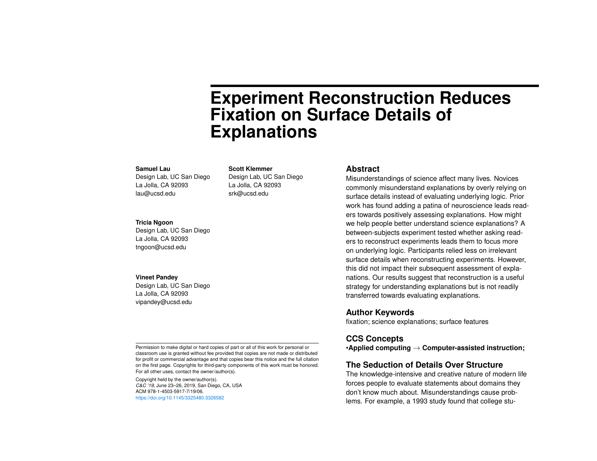# **Experiment Reconstruction Reduces Fixation on Surface Details of Explanations**

#### **Samuel Lau**

Design Lab, UC San Diego La Jolla, CA 92093 lau@ucsd.edu

#### **Scott Klemmer**

Design Lab, UC San Diego La Jolla, CA 92093 srk@ucsd.edu

#### **Tricia Ngoon**

Design Lab, UC San Diego La Jolla, CA 92093 tngoon@ucsd.edu

#### **Vineet Pandey**

Design Lab, UC San Diego La Jolla, CA 92093 vipandey@ucsd.edu

Permission to make digital or hard copies of part or all of this work for personal or classroom use is granted without fee provided that copies are not made or distributed for profit or commercial advantage and that copies bear this notice and the full citation on the first page. Copyrights for third-party components of this work must be honored. For all other uses, contact the owner/author(s).

Copyright held by the owner/author(s). *C&C '19*, June 23–26, 2019, San Diego, CA, USA ACM 978-1-4503-5917-7/19/06. <https://doi.org/10.1145/3325480.3326582>

## **Abstract**

Misunderstandings of science affect many lives. Novices commonly misunderstand explanations by overly relying on surface details instead of evaluating underlying logic. Prior work has found adding a patina of neuroscience leads readers towards positively assessing explanations. How might we help people better understand science explanations? A between-subjects experiment tested whether asking readers to reconstruct experiments leads them to focus more on underlying logic. Participants relied less on irrelevant surface details when reconstructing experiments. However, this did not impact their subsequent assessment of explanations. Our results suggest that reconstruction is a useful strategy for understanding explanations but is not readily transferred towards evaluating explanations.

### **Author Keywords**

fixation; science explanations; surface features

## **CCS Concepts**

•**Applied computing** → **Computer-assisted instruction;**

# **The Seduction of Details Over Structure**

The knowledge-intensive and creative nature of modern life forces people to evaluate statements about domains they don't know much about. Misunderstandings cause problems. For example, a 1993 study found that college stu-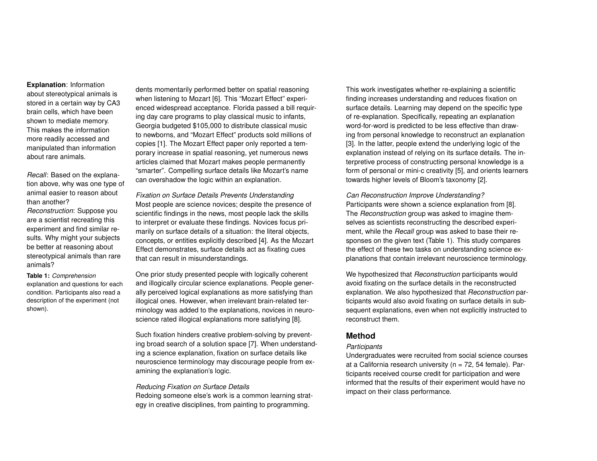**Explanation**: Information about stereotypical animals is stored in a certain way by CA3 brain cells, which have been shown to mediate memory. This makes the information more readily accessed and manipulated than information about rare animals.

*Recall*: Based on the explanation above, why was one type of animal easier to reason about than another?

*Reconstruction*: Suppose you are a scientist recreating this experiment and find similar results. Why might your subjects be better at reasoning about stereotypical animals than rare animals?

<span id="page-1-0"></span>**Table 1:** *Comprehension* explanation and questions for each condition. Participants also read a description of the experiment (not shown).

dents momentarily performed better on spatial reasoning when listening to Mozart [\[6\]](#page-4-0). This "Mozart Effect" experienced widespread acceptance. Florida passed a bill requiring day care programs to play classical music to infants, Georgia budgeted \$105,000 to distribute classical music to newborns, and "Mozart Effect" products sold millions of copies [\[1\]](#page-4-1). The Mozart Effect paper only reported a temporary increase in spatial reasoning, yet numerous news articles claimed that Mozart makes people permanently "smarter". Compelling surface details like Mozart's name can overshadow the logic within an explanation.

*Fixation on Surface Details Prevents Understanding* Most people are science novices; despite the presence of scientific findings in the news, most people lack the skills to interpret or evaluate these findings. Novices focus primarily on surface details of a situation: the literal objects, concepts, or entities explicitly described [\[4\]](#page-4-2). As the Mozart Effect demonstrates, surface details act as fixating cues that can result in misunderstandings.

One prior study presented people with logically coherent and illogically circular science explanations. People generally perceived logical explanations as more satisfying than illogical ones. However, when irrelevant brain-related terminology was added to the explanations, novices in neuroscience rated illogical explanations more satisfying [\[8\]](#page-4-3).

Such fixation hinders creative problem-solving by preventing broad search of a solution space [\[7\]](#page-4-4). When understanding a science explanation, fixation on surface details like neuroscience terminology may discourage people from examining the explanation's logic.

### *Reducing Fixation on Surface Details*

Redoing someone else's work is a common learning strategy in creative disciplines, from painting to programming.

This work investigates whether re-explaining a scientific finding increases understanding and reduces fixation on surface details. Learning may depend on the specific type of re-explanation. Specifically, repeating an explanation word-for-word is predicted to be less effective than drawing from personal knowledge to reconstruct an explanation [\[3\]](#page-4-5). In the latter, people extend the underlying logic of the explanation instead of relying on its surface details. The interpretive process of constructing personal knowledge is a form of personal or mini-c creativity [\[5\]](#page-4-6), and orients learners towards higher levels of Bloom's taxonomy [\[2\]](#page-4-7).

*Can Reconstruction Improve Understanding?* Participants were shown a science explanation from [\[8\]](#page-4-3). The *Reconstruction* group was asked to imagine themselves as scientists reconstructing the described experiment, while the *Recall* group was asked to base their responses on the given text (Table [1\)](#page-1-0). This study compares the effect of these two tasks on understanding science explanations that contain irrelevant neuroscience terminology.

We hypothesized that *Reconstruction* participants would avoid fixating on the surface details in the reconstructed explanation. We also hypothesized that *Reconstruction* participants would also avoid fixating on surface details in subsequent explanations, even when not explicitly instructed to reconstruct them.

# **Method**

#### *Participants*

Undergraduates were recruited from social science courses at a California research university ( $n = 72$ , 54 female). Participants received course credit for participation and were informed that the results of their experiment would have no impact on their class performance.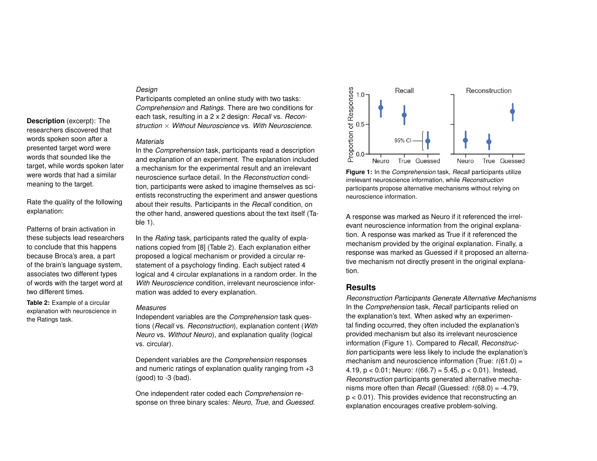## *Design*

Participants completed an online study with two tasks: *Comprehension* and *Ratings*. There are two conditions for each task, resulting in a 2 x 2 design: *Recall* vs. *Reconstruction* × *Without Neuroscience* vs. *With Neuroscience*.

#### *Materials*

In the *Comprehension* task, participants read a description and explanation of an experiment. The explanation included a mechanism for the experimental result and an irrelevant neuroscience surface detail. In the *Reconstruction* condition, participants were asked to imagine themselves as scientists reconstructing the experiment and answer questions about their results. Participants in the *Recall* condition, on the other hand, answered questions about the text itself (Table [1\)](#page-1-0).

In the *Rating* task, participants rated the quality of explanations copied from [\[8\]](#page-4-3) (Table [2\)](#page-2-0). Each explanation either proposed a logical mechanism or provided a circular restatement of a psychology finding. Each subject rated 4 logical and 4 circular explanations in a random order. In the *With Neuroscience* condition, irrelevant neuroscience information was added to every explanation.

#### *Measures*

Independent variables are the *Comprehension* task questions (*Recall* vs. *Reconstruction*), explanation content (*With Neuro* vs. *Without Neuro*), and explanation quality (logical vs. circular).

Dependent variables are the *Comprehension* responses and numeric ratings of explanation quality ranging from +3  $(qood)$  to  $-3$  (bad).

One independent rater coded each *Comprehension* response on three binary scales: *Neuro*, *True*, and *Guessed*.

<span id="page-2-1"></span>

**Figure 1:** In the *Comprehension* task, *Recall* participants utilize irrelevant neuroscience information, while *Reconstruction* participants propose alternative mechanisms without relying on neuroscience information.

A response was marked as Neuro if it referenced the irrelevant neuroscience information from the original explanation. A response was marked as True if it referenced the mechanism provided by the original explanation. Finally, a response was marked as Guessed if it proposed an alternative mechanism not directly present in the original explanation.

# **Results**

*Reconstruction Participants Generate Alternative Mechanisms* In the *Comprehension* task, *Recall* participants relied on the explanation's text. When asked why an experimental finding occurred, they often included the explanation's provided mechanism but also its irrelevant neuroscience information (Figure [1\)](#page-2-1). Compared to *Recall*, *Reconstruction* participants were less likely to include the explanation's mechanism and neuroscience information (True:  $t(61.0) =$ 4.19,  $p < 0.01$ ; Neuro:  $t(66.7) = 5.45$ ,  $p < 0.01$ ). Instead, *Reconstruction* participants generated alternative mechanisms more often than *Recall* (Guessed:  $t(68.0) = -4.79$ , p < 0.01). This provides evidence that reconstructing an explanation encourages creative problem-solving.

**Description** (excerpt): The researchers discovered that words spoken soon after a presented target word were words that sounded like the target, while words spoken later were words that had a similar meaning to the target.

Rate the quality of the following explanation:

Patterns of brain activation in these subjects lead researchers to conclude that this happens because Broca's area, a part of the brain's language system, associates two different types of words with the target word at two different times.

<span id="page-2-0"></span>**Table 2:** Example of a circular explanation with neuroscience in the Ratings task.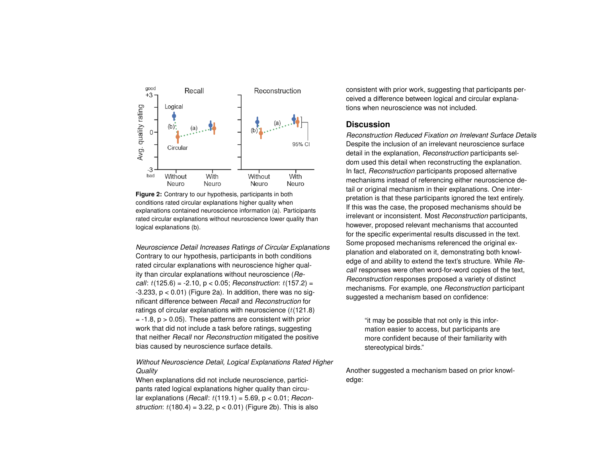<span id="page-3-0"></span>

**Figure 2:** Contrary to our hypothesis, participants in both conditions rated circular explanations higher quality when explanations contained neuroscience information (a). Participants rated circular explanations without neuroscience lower quality than logical explanations (b).

*Neuroscience Detail Increases Ratings of Circular Explanations* Contrary to our hypothesis, participants in both conditions rated circular explanations with neuroscience higher quality than circular explanations without neuroscience (*Recall*: t(125.6) = -2.10, p < 0.05; *Reconstruction*: t(157.2) =  $-3.233$ ,  $p < 0.01$ ) (Figure [2a](#page-3-0)). In addition, there was no significant difference between *Recall* and *Reconstruction* for ratings of circular explanations with neuroscience  $(t(121.8))$  $= -1.8$ ,  $p > 0.05$ ). These patterns are consistent with prior work that did not include a task before ratings, suggesting that neither *Recall* nor *Reconstruction* mitigated the positive bias caused by neuroscience surface details.

# *Without Neuroscience Detail, Logical Explanations Rated Higher Quality*

When explanations did not include neuroscience, participants rated logical explanations higher quality than circular explanations (*Recall*: t(119.1) = 5.69, p < 0.01; *Reconstruction:*  $t(180.4) = 3.22$ ,  $p < 0.01$ ) (Figure [2b](#page-3-0)). This is also consistent with prior work, suggesting that participants perceived a difference between logical and circular explanations when neuroscience was not included.

## **Discussion**

*Reconstruction Reduced Fixation on Irrelevant Surface Details* Despite the inclusion of an irrelevant neuroscience surface detail in the explanation, *Reconstruction* participants seldom used this detail when reconstructing the explanation. In fact, *Reconstruction* participants proposed alternative mechanisms instead of referencing either neuroscience detail or original mechanism in their explanations. One interpretation is that these participants ignored the text entirely. If this was the case, the proposed mechanisms should be irrelevant or inconsistent. Most *Reconstruction* participants, however, proposed relevant mechanisms that accounted for the specific experimental results discussed in the text. Some proposed mechanisms referenced the original explanation and elaborated on it, demonstrating both knowledge of and ability to extend the text's structure. While *Recall* responses were often word-for-word copies of the text, *Reconstruction* responses proposed a variety of distinct mechanisms. For example, one *Reconstruction* participant suggested a mechanism based on confidence:

"it may be possible that not only is this information easier to access, but participants are more confident because of their familiarity with stereotypical birds."

Another suggested a mechanism based on prior knowledge: